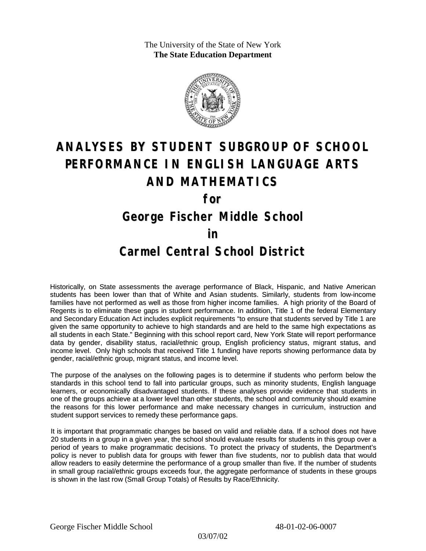The University of the State of New York **The State Education Department**



# **ANALYSES BY STUDENT SUBGROUP OF SCHOOL PERFORMANCE IN ENGLISH LANGUAGE ARTS AND MATHEMATICS**

**for**

**George Fischer Middle School**

#### **in**

### **Carmel Central School District**

Historically, on State assessments the average performance of Black, Hispanic, and Native American students has been lower than that of White and Asian students. Similarly, students from low-income families have not performed as well as those from higher income families. A high priority of the Board of Regents is to eliminate these gaps in student performance. In addition, Title 1 of the federal Elementary and Secondary Education Act includes explicit requirements "to ensure that students served by Title 1 are given the same opportunity to achieve to high standards and are held to the same high expectations as all students in each State." Beginning with this school report card, New York State will report performance data by gender, disability status, racial/ethnic group, English proficiency status, migrant status, and income level. Only high schools that received Title 1 funding have reports showing performance data by gender, racial/ethnic group, migrant status, and income level.

The purpose of the analyses on the following pages is to determine if students who perform below the standards in this school tend to fall into particular groups, such as minority students, English language learners, or economically disadvantaged students. If these analyses provide evidence that students in one of the groups achieve at a lower level than other students, the school and community should examine the reasons for this lower performance and make necessary changes in curriculum, instruction and student support services to remedy these performance gaps.

It is important that programmatic changes be based on valid and reliable data. If a school does not have 20 students in a group in a given year, the school should evaluate results for students in this group over a period of years to make programmatic decisions. To protect the privacy of students, the Department's policy is never to publish data for groups with fewer than five students, nor to publish data that would allow readers to easily determine the performance of a group smaller than five. If the number of students in small group racial/ethnic groups exceeds four, the aggregate performance of students in these groups is shown in the last row (Small Group Totals) of Results by Race/Ethnicity.

03/07/02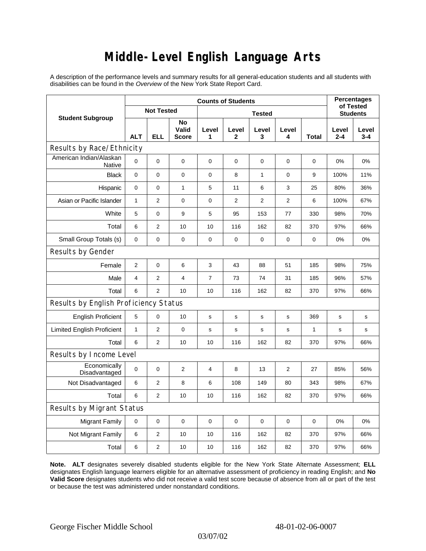# **Middle-Level English Language Arts**

A description of the performance levels and summary results for all general-education students and all students with disabilities can be found in the *Overview* of the New York State Report Card.

| <b>Student Subgroup</b>               | <b>Counts of Students</b> |                |                             |                |                |                |                |              | <b>Percentages</b><br>of Tested |              |  |
|---------------------------------------|---------------------------|----------------|-----------------------------|----------------|----------------|----------------|----------------|--------------|---------------------------------|--------------|--|
|                                       | <b>Not Tested</b>         |                |                             | <b>Tested</b>  |                |                |                |              | <b>Students</b>                 |              |  |
|                                       | <b>ALT</b>                | <b>ELL</b>     | No<br>Valid<br><b>Score</b> | Level<br>1     | Level<br>2     | Level<br>3     | Level<br>4     | Total        | Level<br>$2 - 4$                | Level<br>3-4 |  |
| Results by Race/Ethnicity             |                           |                |                             |                |                |                |                |              |                                 |              |  |
| American Indian/Alaskan<br>Native     | $\mathbf 0$               | 0              | $\pmb{0}$                   | $\mathbf 0$    | 0              | 0              | 0              | 0            | 0%                              | 0%           |  |
| <b>Black</b>                          | 0                         | 0              | $\pmb{0}$                   | $\mathbf 0$    | 8              | $\mathbf{1}$   | $\mathbf 0$    | 9            | 100%                            | 11%          |  |
| Hispanic                              | 0                         | 0              | $\mathbf{1}$                | 5              | 11             | 6              | 3              | 25           | 80%                             | 36%          |  |
| Asian or Pacific Islander             | $\mathbf{1}$              | 2              | $\pmb{0}$                   | $\mathbf 0$    | $\overline{2}$ | $\overline{2}$ | $\overline{2}$ | 6            | 100%                            | 67%          |  |
| White                                 | 5                         | 0              | 9                           | 5              | 95             | 153            | 77             | 330          | 98%                             | 70%          |  |
| Total                                 | 6                         | $\overline{2}$ | 10                          | 10             | 116            | 162            | 82             | 370          | 97%                             | 66%          |  |
| Small Group Totals (s)                | 0                         | 0              | $\mathbf 0$                 | $\mathbf 0$    | $\mathbf 0$    | $\pmb{0}$      | $\pmb{0}$      | 0            | 0%                              | 0%           |  |
| Results by Gender                     |                           |                |                             |                |                |                |                |              |                                 |              |  |
| Female                                | $\overline{c}$            | 0              | 6                           | 3              | 43             | 88             | 51             | 185          | 98%                             | 75%          |  |
| Male                                  | $\overline{4}$            | $\overline{2}$ | $\overline{4}$              | $\overline{7}$ | 73             | 74             | 31             | 185          | 96%                             | 57%          |  |
| Total                                 | 6                         | $\overline{2}$ | 10                          | 10             | 116            | 162            | 82             | 370          | 97%                             | 66%          |  |
| Results by English Proficiency Status |                           |                |                             |                |                |                |                |              |                                 |              |  |
| <b>English Proficient</b>             | 5                         | 0              | 10                          | s              | s              | s              | s              | 369          | s                               | s            |  |
| <b>Limited English Proficient</b>     | $\mathbf{1}$              | $\overline{2}$ | $\pmb{0}$                   | s              | s              | $\mathbf s$    | s              | $\mathbf{1}$ | s                               | s            |  |
| Total                                 | 6                         | $\overline{2}$ | 10                          | 10             | 116            | 162            | 82             | 370          | 97%                             | 66%          |  |
| Results by Income Level               |                           |                |                             |                |                |                |                |              |                                 |              |  |
| Economically<br>Disadvantaged         | $\mathbf 0$               | 0              | 2                           | 4              | 8              | 13             | $\overline{2}$ | 27           | 85%                             | 56%          |  |
| Not Disadvantaged                     | 6                         | $\overline{2}$ | 8                           | 6              | 108            | 149            | 80             | 343          | 98%                             | 67%          |  |
| Total                                 | 6                         | $\overline{2}$ | 10                          | 10             | 116            | 162            | 82             | 370          | 97%                             | 66%          |  |
| Results by Migrant Status             |                           |                |                             |                |                |                |                |              |                                 |              |  |
| <b>Migrant Family</b>                 | $\pmb{0}$                 | 0              | $\mathbf 0$                 | $\mathbf 0$    | $\mathbf 0$    | $\mathbf 0$    | 0              | $\mathbf 0$  | 0%                              | 0%           |  |
| Not Migrant Family                    | 6                         | 2              | 10                          | 10             | 116            | 162            | 82             | 370          | 97%                             | 66%          |  |
| Total                                 | 6                         | 2              | 10                          | 10             | 116            | 162            | 82             | 370          | 97%                             | 66%          |  |

**Note. ALT** designates severely disabled students eligible for the New York State Alternate Assessment; **ELL** designates English language learners eligible for an alternative assessment of proficiency in reading English; and **No Valid Score** designates students who did not receive a valid test score because of absence from all or part of the test or because the test was administered under nonstandard conditions.